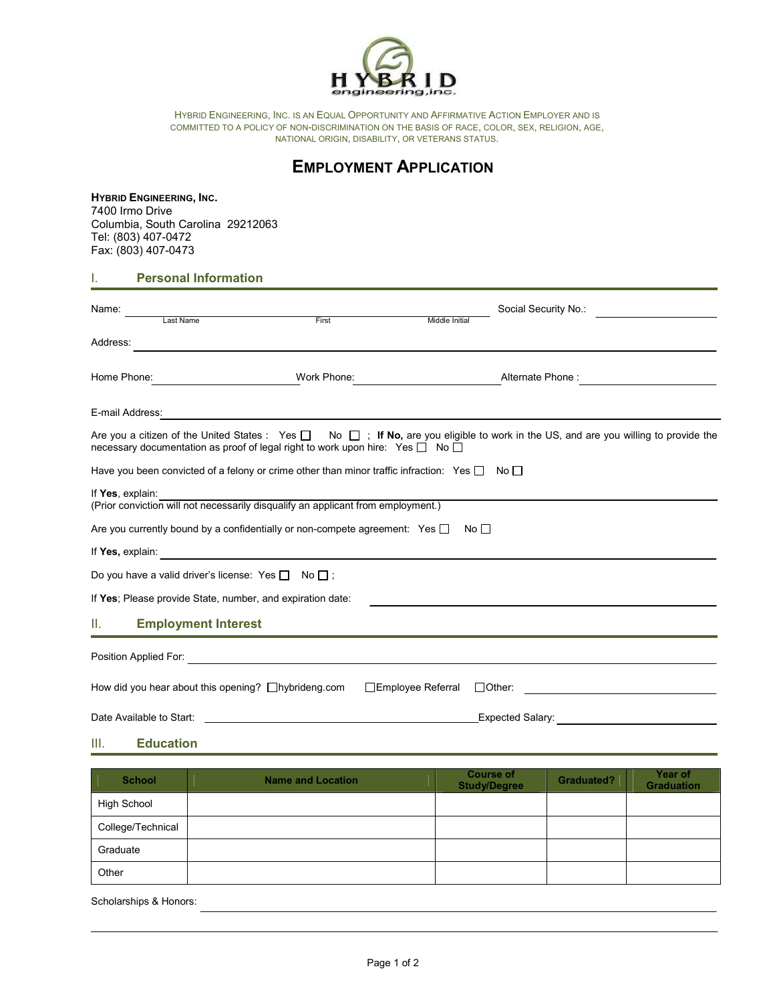

HYBRID ENGINEERING, INC. IS AN EQUAL OPPORTUNITY AND AFFIRMATIVE ACTION EMPLOYER AND IS COMMITTED TO A POLICY OF NON-DISCRIMINATION ON THE BASIS OF RACE, COLOR, SEX, RELIGION, AGE, NATIONAL ORIGIN, DISABILITY, OR VETERANS STATUS.

## **EMPLOYMENT APPLICATION**

## **HYBRID ENGINEERING, INC.** Tel: (803) 407-0472 Fax: (803) 407-0473 7400 Irmo Drive Columbia, South Carolina 29212063

I. **Personal Information**

| Name:<br>Last Name                                           | First                                                                                                                                                                                                                         | Middle Initial     | Social Security No.:                                                                                                                                |  |
|--------------------------------------------------------------|-------------------------------------------------------------------------------------------------------------------------------------------------------------------------------------------------------------------------------|--------------------|-----------------------------------------------------------------------------------------------------------------------------------------------------|--|
| Address:                                                     |                                                                                                                                                                                                                               |                    |                                                                                                                                                     |  |
| Home Phone:<br><u> 1990 - Johann Barbara, martx</u>          | Work Phone:                                                                                                                                                                                                                   |                    | Alternate Phone:                                                                                                                                    |  |
| E-mail Address:                                              | <u> 1989 - Johann John Stone, markin film ar yn y brenin y brenin y brenin y brenin y brenin y brenin y brenin y</u>                                                                                                          |                    |                                                                                                                                                     |  |
|                                                              | necessary documentation as proof of legal right to work upon hire: Yes $\Box$ No $\Box$                                                                                                                                       |                    | Are you a citizen of the United States : Yes $\square$ No $\square$ ; If No, are you eligible to work in the US, and are you willing to provide the |  |
|                                                              | Have you been convicted of a felony or crime other than minor traffic infraction: Yes $\Box$ No $\Box$                                                                                                                        |                    |                                                                                                                                                     |  |
| If Yes, explain:                                             | (Prior conviction will not necessarily disqualify an applicant from employment.)                                                                                                                                              |                    |                                                                                                                                                     |  |
|                                                              | Are you currently bound by a confidentially or non-compete agreement: Yes $\Box$                                                                                                                                              | No $\Box$          |                                                                                                                                                     |  |
|                                                              | If Yes, explain: the contract of the contract of the contract of the contract of the contract of the contract of the contract of the contract of the contract of the contract of the contract of the contract of the contract |                    |                                                                                                                                                     |  |
| Do you have a valid driver's license: Yes $\Box$ No $\Box$ ; |                                                                                                                                                                                                                               |                    |                                                                                                                                                     |  |
| If Yes; Please provide State, number, and expiration date:   |                                                                                                                                                                                                                               |                    |                                                                                                                                                     |  |
| Ш.<br><b>Employment Interest</b>                             |                                                                                                                                                                                                                               |                    |                                                                                                                                                     |  |
|                                                              |                                                                                                                                                                                                                               |                    |                                                                                                                                                     |  |
| How did you hear about this opening? $\Box$ hybrideng.com    |                                                                                                                                                                                                                               | □Employee Referral | $\Box$ Other:<br><u> 1989 - Jan Stein, Amerikaansk politiker (</u>                                                                                  |  |
| Date Available to Start:                                     |                                                                                                                                                                                                                               |                    | <b>Expected Salary:</b> Expected Salary:                                                                                                            |  |

III. **Education**

| <b>School</b>     | <b>Name and Location</b> | Course of<br><b>Study/Degree</b> | <b>Graduated?</b> | Year of<br><b>Graduation</b> |
|-------------------|--------------------------|----------------------------------|-------------------|------------------------------|
| High School       |                          |                                  |                   |                              |
| College/Technical |                          |                                  |                   |                              |
| Graduate          |                          |                                  |                   |                              |
| Other             |                          |                                  |                   |                              |

Scholarships & Honors: